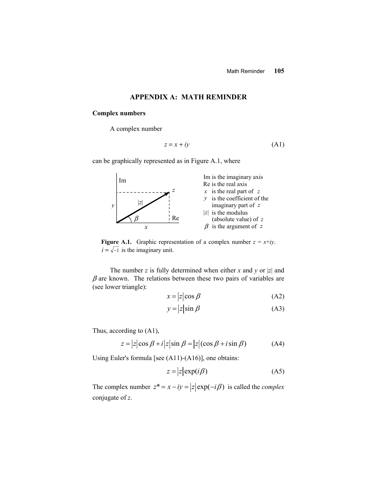## **APPENDIX A: MATH REMINDER**

#### **Complex numbers**

A complex number

$$
z = x + iy \tag{A1}
$$

can be graphically represented as in Figure A.1, where



**Figure A.1.** Graphic representation of a complex number  $z = x+iy$ .  $i = \sqrt{-1}$  is the imaginary unit.

 The number *z* is fully determined when either *x* and *y* or |*z*| and  $\beta$  are known. The relations between these two pairs of variables are (see lower triangle):

$$
x = |z| \cos \beta \tag{A2}
$$

$$
y = |z| \sin \beta \tag{A3}
$$

Thus, according to (A1),

$$
z = |z|\cos\beta + i|z|\sin\beta = |z|(\cos\beta + i\sin\beta)
$$
 (A4)

Using Euler's formula [see (A11)-(A16)], one obtains:

$$
z = |z| \exp(i\beta) \tag{A5}
$$

The complex number  $z^* = x - iy = |z| \exp(-i\beta)$  is called the *complex* conjugate of *z*.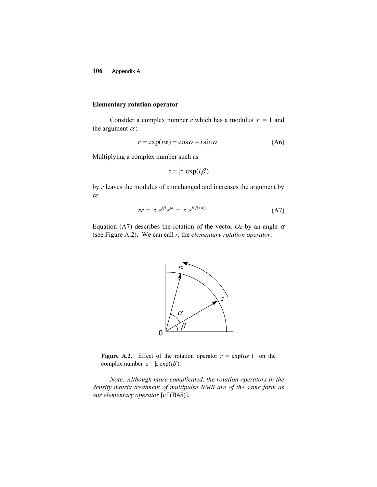#### **Elementary rotation operator**

Consider a complex number *r* which has a modulus  $|r| = 1$  and the argument  $\alpha$  :

$$
r = \exp(i\alpha) = \cos\alpha + i\sin\alpha \tag{A6}
$$

Multiplying a complex number such as

$$
z = |z| \exp(i\beta)
$$

by *r* leaves the modulus of *z* unchanged and increases the argument by  $\alpha$ 

$$
zr = |z|e^{i\beta}e^{ia} = |z|e^{i(\beta+\alpha)} \tag{A7}
$$

Equation (A7) describes the rotation of the vector  $Oz$  by an angle  $\alpha$ (see Figure A.2). We can call *r*, the *elementary rotation operator*.



**Figure A.2**. Effect of the rotation operator  $r = \exp(i\alpha)$  on the complex number  $z = |z| \exp(i\beta)$ .

*Note: Although more complicated, the rotation operators in the density matrix treatment of multipulse NMR are of the same form as our elementary operator* [cf.(B45)].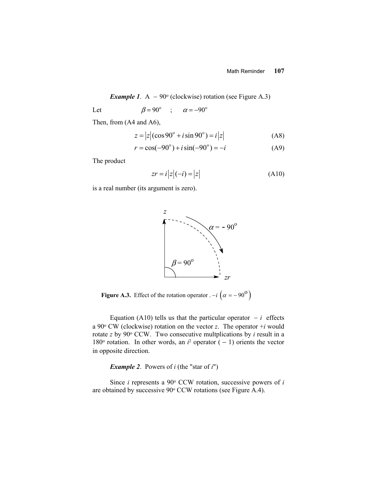#### Math Reminder **107**

*Example 1.* A  $-90^\circ$  (clockwise) rotation (see Figure A.3)

Let  $\beta = 90^\circ$  ;  $\alpha = -90^\circ$ 

Then, from (A4 and A6),

$$
z = |z|(\cos 90^\circ + i \sin 90^\circ) = i|z|
$$
 (A8)

$$
r = \cos(-90^{\circ}) + i\sin(-90^{\circ}) = -i
$$
 (A9)

The product

$$
zr = i|z|(-i) = |z|
$$
 (A10)

is a real number (its argument is zero).



**Figure A.3.** Effect of the rotation operator  $\overline{\phantom{a}}$   $-i\left(\alpha = -90^\circ\right)$ 

Equation (A10) tells us that the particular operator  $-i$  effects a 90 $\degree$  CW (clockwise) rotation on the vector *z*. The operator  $+i$  would rotate *z* by 90° CCW. Two consecutive multplications by *i* result in a 180 $\degree$  rotation. In other words, an  $i^2$  operator (-1) orients the vector in opposite direction.

*Example 2*. Powers of *i* (the "star of *i*")

 Since *i* represents a 90o CCW rotation, successive powers of *i* are obtained by successive 90° CCW rotations (see Figure A.4).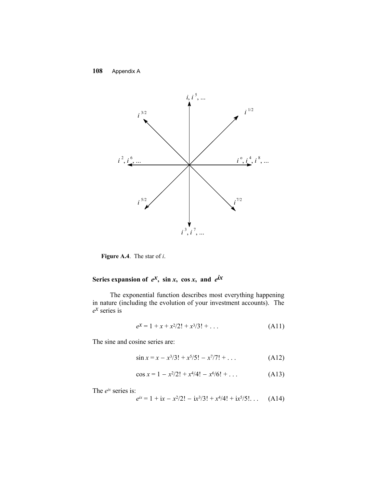

**Figure A.4**. The star of *i*.

# Series expansion of  $e^x$ , sin *x*, cos *x*, and  $e^{ix}$

The exponential function describes most everything happening in nature (including the evolution of your investment accounts). The *ex* series is

$$
e^{x} = 1 + x + x^{2}/2! + x^{3}/3! + \dots
$$
 (A11)

The sine and cosine series are:

$$
\sin x = x - x^3/3! + x^5/5! - x^7/7! + \dots \tag{A12}
$$

$$
\cos x = 1 - \frac{x^2}{2!} + \frac{x^4}{4!} - \frac{x^6}{6!} + \dots
$$
 (A13)

The *eix* series is:

$$
e^{ix} = 1 + ix - x^2/2! - ix^3/3! + x^4/4! + ix^5/5! \dots
$$
 (A14)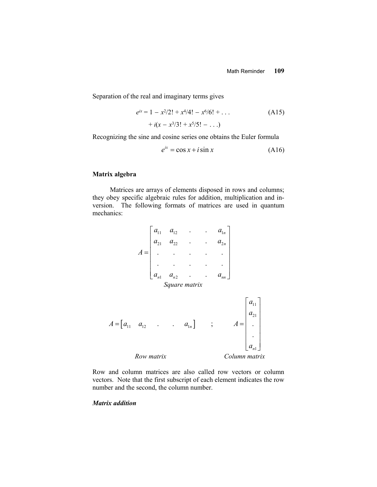Separation of the real and imaginary terms gives

$$
e^{ix} = 1 - x^2/2! + x^4/4! - x^6/6! + \dots
$$
 (A15)

$$
+ i(x - x^3/3! + x^5/5! - ...)
$$

Recognizing the sine and cosine series one obtains the Euler formula

$$
e^{ix} = \cos x + i \sin x \tag{A16}
$$

#### **Matrix algebra**

Matrices are arrays of elements disposed in rows and columns; they obey specific algebraic rules for addition, multiplication and inversion. The following formats of matrices are used in quantum mechanics:



Row and column matrices are also called row vectors or column vectors. Note that the first subscript of each element indicates the row number and the second, the column number.

## *Matrix addition*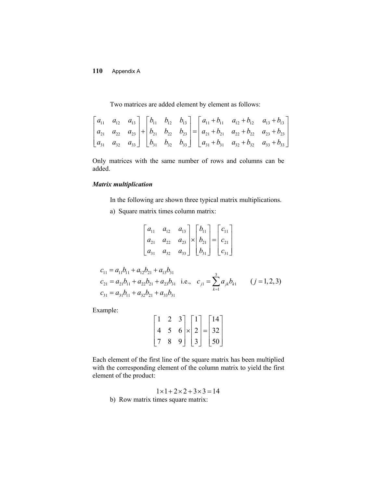Two matrices are added element by element as follows:

|  |  |  |  | $\begin{bmatrix} a_{11} & a_{12} & a_{13} \ a_{21} & a_{22} & a_{23} \ a_{31} & a_{32} & a_{33} \end{bmatrix} + \begin{bmatrix} b_{11} & b_{12} & b_{13} \ b_{21} & b_{22} & b_{23} \ b_{31} & b_{32} & b_{33} \end{bmatrix} = \begin{bmatrix} a_{11} + b_{11} & a_{12} + b_{12} & a_{13} + b_{13} \ a_{21} + b_{21} & a_{22} + b_{22} & a_{23} + b_{23} \ a_{31} + b_{31$ |
|--|--|--|--|----------------------------------------------------------------------------------------------------------------------------------------------------------------------------------------------------------------------------------------------------------------------------------------------------------------------------------------------------------------------------|
|  |  |  |  |                                                                                                                                                                                                                                                                                                                                                                            |
|  |  |  |  |                                                                                                                                                                                                                                                                                                                                                                            |

Only matrices with the same number of rows and columns can be added.

# *Matrix multiplication*

In the following are shown three typical matrix multiplications.

a) Square matrix times column matrix:

$$
\begin{bmatrix} a_{11} & a_{12} & a_{13} \ a_{21} & a_{22} & a_{23} \ a_{31} & a_{32} & a_{33} \end{bmatrix} \times \begin{bmatrix} b_{11} \ b_{21} \ b_{31} \end{bmatrix} = \begin{bmatrix} c_{11} \ c_{21} \ c_{31} \end{bmatrix}
$$

$$
c_{11} = a_{11}b_{11} + a_{12}b_{21} + a_{13}b_{31}
$$
  
\n
$$
c_{21} = a_{21}b_{11} + a_{22}b_{21} + a_{23}b_{31}
$$
 i.e.,  $c_{j1} = \sum_{k=1}^{3} a_{jk}b_{k1}$  (*j* = 1, 2, 3)  
\n
$$
c_{31} = a_{31}b_{11} + a_{32}b_{21} + a_{33}b_{31}
$$

Example:

$$
\begin{bmatrix} 1 & 2 & 3 \\ 4 & 5 & 6 \\ 7 & 8 & 9 \end{bmatrix} \times \begin{bmatrix} 1 \\ 2 \\ 3 \end{bmatrix} = \begin{bmatrix} 14 \\ 32 \\ 50 \end{bmatrix}
$$

Each element of the first line of the square matrix has been multiplied with the corresponding element of the column matrix to yield the first element of the product:

 $1 \times 1 + 2 \times 2 + 3 \times 3 = 14$ b) Row matrix times square matrix: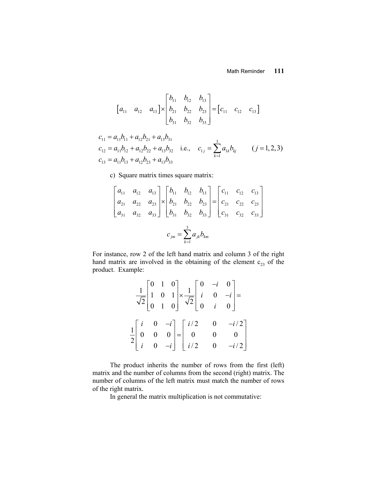## Math Reminder **111**

$$
\begin{bmatrix} a_{11} & a_{12} & a_{13} \end{bmatrix} \times \begin{bmatrix} b_{11} & b_{12} & b_{13} \\ b_{21} & b_{22} & b_{23} \\ b_{31} & b_{32} & b_{33} \end{bmatrix} = \begin{bmatrix} c_{11} & c_{12} & c_{13} \end{bmatrix}
$$

$$
c_{11} = a_{11}b_{11} + a_{12}b_{21} + a_{13}b_{31}
$$
  
\n
$$
c_{12} = a_{11}b_{12} + a_{12}b_{22} + a_{13}b_{32}
$$
 i.e., 
$$
c_{1j} = \sum_{k=1}^{3} a_{1k}b_{kj}
$$
  $(j = 1, 2, 3)$   
\n
$$
c_{13} = a_{11}b_{13} + a_{12}b_{23} + a_{13}b_{33}
$$

c) Square matrix times square matrix:

$$
\begin{bmatrix} a_{11} & a_{12} & a_{13} \ a_{21} & a_{22} & a_{23} \ a_{31} & a_{32} & a_{33} \end{bmatrix} \times \begin{bmatrix} b_{11} & b_{12} & b_{13} \ b_{21} & b_{22} & b_{23} \ b_{31} & b_{32} & b_{33} \end{bmatrix} = \begin{bmatrix} c_{11} & c_{12} & c_{13} \ c_{21} & c_{22} & c_{23} \ c_{31} & c_{32} & c_{33} \end{bmatrix}
$$

$$
c_{jm} = \sum_{k=1}^{3} a_{jk} b_{km}
$$

For instance, row 2 of the left hand matrix and column 3 of the right hand matrix are involved in the obtaining of the element  $c_{23}$  of the product. Example:

|  | $\frac{1}{\sqrt{2}}\begin{bmatrix} 0 & 1 & 0 \\ 1 & 0 & 1 \\ 0 & 1 & 0 \end{bmatrix} \times \frac{1}{\sqrt{2}}\begin{bmatrix} 0 & -i & 0 \\ i & 0 & -i \\ 0 & i & 0 \end{bmatrix} =$ |  |
|--|--------------------------------------------------------------------------------------------------------------------------------------------------------------------------------------|--|
|  | $\frac{1}{2} \begin{bmatrix} i & 0 & -i \\ 0 & 0 & 0 \\ i & 0 & -i \end{bmatrix} = \begin{bmatrix} i/2 & 0 & -i/2 \\ 0 & 0 & 0 \\ i/2 & 0 & -i/2 \end{bmatrix}$                      |  |
|  |                                                                                                                                                                                      |  |

The product inherits the number of rows from the first (left) matrix and the number of columns from the second (right) matrix. The number of columns of the left matrix must match the number of rows of the right matrix.

In general the matrix multiplication is not commutative: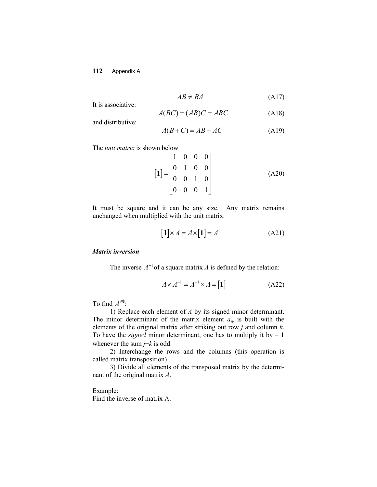$$
AB \neq BA \tag{A17}
$$

It is associative:

$$
A(BC) = (AB)C = ABC
$$
 (A18)

and distributive:

$$
A(B+C) = AB + AC \tag{A19}
$$

The *unit matrix* is shown below

$$
\begin{bmatrix} 1 \end{bmatrix} = \begin{bmatrix} 1 & 0 & 0 & 0 \\ 0 & 1 & 0 & 0 \\ 0 & 0 & 1 & 0 \\ 0 & 0 & 0 & 1 \end{bmatrix}
$$
 (A20)

It must be square and it can be any size. Any matrix remains unchanged when multiplied with the unit matrix:

$$
[1] \times A = A \times [1] = A \tag{A21}
$$

## *Matrix inversion*

The inverse  $A^{-1}$  of a square matrix *A* is defined by the relation:

$$
A \times A^{-1} = A^{-1} \times A = \begin{bmatrix} 1 \end{bmatrix} \tag{A22}
$$

To find  $A^{\text{eff}}$ :

1) Replace each element of *A* by its signed minor determinant. The minor determinant of the matrix element  $a_{ik}$  is built with the elements of the original matrix after striking out row *j* and column  $k$ . To have the *signed* minor determinant, one has to multiply it by  $-1$ whenever the sum  $j+k$  is odd.

2) Interchange the rows and the columns (this operation is called matrix transposition)

3) Divide all elements of the transposed matrix by the determinant of the original matrix *A*.

Example: Find the inverse of matrix A.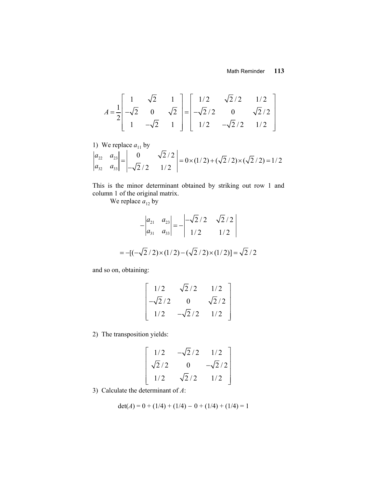$$
A = \frac{1}{2} \begin{bmatrix} 1 & \sqrt{2} & 1 \\ -\sqrt{2} & 0 & \sqrt{2} \\ 1 & -\sqrt{2} & 1 \end{bmatrix} = \begin{bmatrix} 1/2 & \sqrt{2}/2 & 1/2 \\ -\sqrt{2}/2 & 0 & \sqrt{2}/2 \\ 1/2 & -\sqrt{2}/2 & 1/2 \end{bmatrix}
$$

1) We replace 
$$
a_{11}
$$
 by  
\n
$$
\begin{vmatrix} a_{22} & a_{23} \ a_{32} & a_{33} \ \end{vmatrix} = \begin{vmatrix} 0 & \sqrt{2}/2 \\ -\sqrt{2}/2 & 1/2 \end{vmatrix} = 0 \times (1/2) + (\sqrt{2}/2) \times (\sqrt{2}/2) = 1/2
$$

This is the minor determinant obtained by striking out row 1 and column 1 of the original matrix.

We replace  $a_{12}$  by

$$
-\begin{vmatrix} a_{21} & a_{23} \\ a_{31} & a_{33} \end{vmatrix} = -\begin{vmatrix} -\sqrt{2}/2 & \sqrt{2}/2 \\ 1/2 & 1/2 \end{vmatrix}
$$

$$
= -[(-\sqrt{2}/2) \times (1/2) - (\sqrt{2}/2) \times (1/2)] = \sqrt{2}/2
$$

and so on, obtaining:

$$
\begin{bmatrix} 1/2 & \sqrt{2}/2 & 1/2 \\ -\sqrt{2}/2 & 0 & \sqrt{2}/2 \\ 1/2 & -\sqrt{2}/2 & 1/2 \end{bmatrix}
$$

2) The transposition yields:

$$
\begin{bmatrix} 1/2 & -\sqrt{2}/2 & 1/2 \\ \sqrt{2}/2 & 0 & -\sqrt{2}/2 \\ 1/2 & \sqrt{2}/2 & 1/2 \end{bmatrix}
$$

3) Calculate the determinant of *A*:

$$
det(A) = 0 + (1/4) + (1/4) - 0 + (1/4) + (1/4) = 1
$$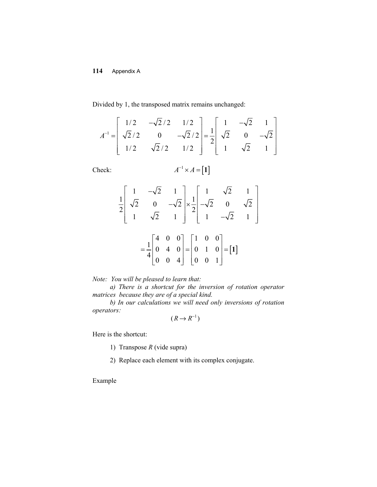Divided by 1, the transposed matrix remains unchanged:

$$
A^{-1} = \begin{bmatrix} 1/2 & -\sqrt{2}/2 & 1/2 \\ \sqrt{2}/2 & 0 & -\sqrt{2}/2 \\ 1/2 & \sqrt{2}/2 & 1/2 \end{bmatrix} = \frac{1}{2} \begin{bmatrix} 1 & -\sqrt{2} & 1 \\ \sqrt{2} & 0 & -\sqrt{2} \\ 1 & \sqrt{2} & 1 \end{bmatrix}
$$

Check: 
$$
A^{-1} \times A = [1]
$$

$$
\frac{1}{2} \begin{bmatrix} 1 & -\sqrt{2} & 1 \\ \sqrt{2} & 0 & -\sqrt{2} \\ 1 & \sqrt{2} & 1 \end{bmatrix} \times \frac{1}{2} \begin{bmatrix} 1 & \sqrt{2} & 1 \\ -\sqrt{2} & 0 & \sqrt{2} \\ 1 & -\sqrt{2} & 1 \end{bmatrix}
$$

$$
= \frac{1}{4} \begin{bmatrix} 4 & 0 & 0 \\ 0 & 4 & 0 \\ 0 & 0 & 4 \end{bmatrix} = \begin{bmatrix} 1 & 0 & 0 \\ 0 & 1 & 0 \\ 0 & 0 & 1 \end{bmatrix} = [1]
$$

*Note: You will be pleased to learn that:* 

*a) There is a shortcut for the inversion of rotation operator matrices because they are of a special kind.* 

*b) In our calculations we will need only inversions of rotation operators:*

$$
(R \to R^{-1})
$$

Here is the shortcut:

1) Transpose *R* (vide supra)

2) Replace each element with its complex conjugate.

Example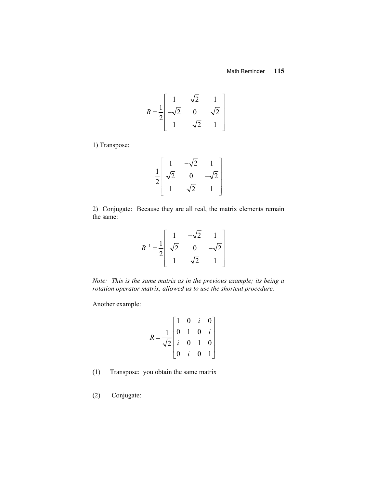$$
R = \frac{1}{2} \begin{bmatrix} 1 & \sqrt{2} & 1 \\ -\sqrt{2} & 0 & \sqrt{2} \\ 1 & -\sqrt{2} & 1 \end{bmatrix}
$$

1) Transpose:

$$
\frac{1}{2} \begin{bmatrix} 1 & -\sqrt{2} & 1 \\ \sqrt{2} & 0 & -\sqrt{2} \\ 1 & \sqrt{2} & 1 \end{bmatrix}
$$

2) Conjugate: Because they are all real, the matrix elements remain the same:

$$
R^{-1} = \frac{1}{2} \begin{bmatrix} 1 & -\sqrt{2} & 1 \\ \sqrt{2} & 0 & -\sqrt{2} \\ 1 & \sqrt{2} & 1 \end{bmatrix}
$$

*Note: This is the same matrix as in the previous example; its being a rotation operator matrix, allowed us to use the shortcut procedure.*

Another example:

$$
R = \frac{1}{\sqrt{2}} \begin{bmatrix} 1 & 0 & i & 0 \\ 0 & 1 & 0 & i \\ i & 0 & 1 & 0 \\ 0 & i & 0 & 1 \end{bmatrix}
$$

- (1) Transpose: you obtain the same matrix
- (2) Conjugate: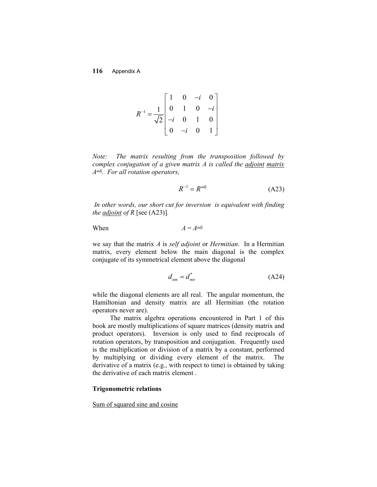$$
R^{-1} = \frac{1}{\sqrt{2}} \begin{bmatrix} 1 & 0 & -i & 0 \\ 0 & 1 & 0 & -i \\ -i & 0 & 1 & 0 \\ 0 & -i & 0 & 1 \end{bmatrix}
$$

*Note: The matrix resulting from the transposition followed by complex conjugation of a given matrix A is called the adjoint matrix Aadj. For all rotation operators,*

$$
R^{-1} = R^{adj} \tag{A23}
$$

*In other words, our short cut for inversion is equivalent with finding the adjoint of R* [see (A23)]*.*

 $When$ 

$$
A=A^{adj}
$$

we say that the matrix *A* is *self adjoint* or *Hermitian*. In a Hermitian matrix, every element below the main diagonal is the complex conjugate of its symmetrical element above the diagonal

$$
d_{nm} = d_{mn}^* \tag{A24}
$$

while the diagonal elements are all real. The angular momentum, the Hamiltonian and density matrix are all Hermitian (the rotation operators never are).

The matrix algebra operations encountered in Part 1 of this book are mostly multiplications of square matrices (density matrix and product operators). Inversion is only used to find reciprocals of rotation operators, by transposition and conjugation. Frequently used is the multiplication or division of a matrix by a constant, performed by multiplying or dividing every element of the matrix. The derivative of a matrix (e.g., with respect to time) is obtained by taking the derivative of each matrix element .

## **Trigonometric relations**

#### Sum of squared sine and cosine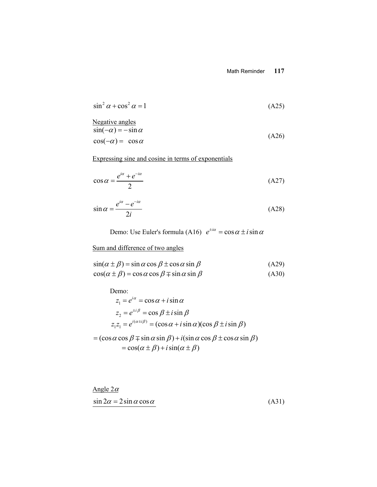$$
\sin^2 \alpha + \cos^2 \alpha = 1\tag{A25}
$$

Negative angles  
\n
$$
sin(-\alpha) = -sin \alpha
$$
  
\n $cos(-\alpha) = cos \alpha$  (A26)

Expressing sine and cosine in terms of exponentials

$$
\cos \alpha = \frac{e^{i\alpha} + e^{-i\alpha}}{2} \tag{A27}
$$

$$
\sin \alpha = \frac{e^{i\alpha} - e^{-i\alpha}}{2i} \tag{A28}
$$

Demo: Use Euler's formula (A16)  $e^{\pm i\alpha} = \cos \alpha \pm i \sin \alpha$ 

# Sum and difference of two angles

$$
\sin(\alpha \pm \beta) = \sin \alpha \cos \beta \pm \cos \alpha \sin \beta \tag{A29}
$$

$$
\cos(\alpha \pm \beta) = \cos \alpha \cos \beta \mp \sin \alpha \sin \beta \tag{A30}
$$

Demo:

$$
z_1 = e^{i\alpha} = \cos \alpha + i \sin \alpha
$$
  
\n
$$
z_2 = e^{\pm i\beta} = \cos \beta \pm i \sin \beta
$$
  
\n
$$
z_1 z_1 = e^{i(\alpha \pm i\beta)} = (\cos \alpha + i \sin \alpha)(\cos \beta \pm i \sin \beta)
$$

$$
= (\cos \alpha \cos \beta \mp \sin \alpha \sin \beta) + i(\sin \alpha \cos \beta \pm \cos \alpha \sin \beta)
$$
  
=  $\cos(\alpha \pm \beta) + i \sin(\alpha \pm \beta)$ 

Angle  $2\alpha$  $\sin 2\alpha = 2\sin \alpha \cos \alpha$  (A31)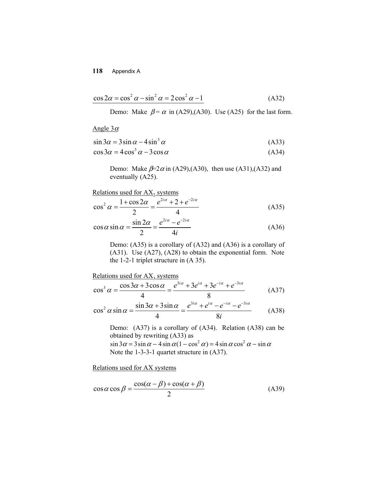$$
\cos 2\alpha = \cos^2 \alpha - \sin^2 \alpha = 2\cos^2 \alpha - 1 \tag{A32}
$$

Demo: Make  $\beta = \alpha$  in (A29),(A30). Use (A25) for the last form.

Angle  $3\alpha$ 

$$
\sin 3\alpha = 3\sin \alpha - 4\sin^3 \alpha \tag{A33}
$$

$$
\cos 3\alpha = 4\cos^3 \alpha - 3\cos \alpha \tag{A34}
$$

Demo: Make  $\beta = 2\alpha$  in (A29),(A30), then use (A31),(A32) and eventually (A25).

Relations used for  $AX_2$  systems

$$
\cos^2 \alpha = \frac{1 + \cos 2\alpha}{2} = \frac{e^{2i\alpha} + 2 + e^{-2i\alpha}}{4}
$$
 (A35)

$$
\cos \alpha \sin \alpha = \frac{\sin 2\alpha}{2} = \frac{e^{2i\alpha} - e^{-2i\alpha}}{4i}
$$
 (A36)

Demo: (A35) is a corollary of (A32) and (A36) is a corollary of (A31). Use (A27), (A28) to obtain the exponential form. Note the 1-2-1 triplet structure in (A 35).

Relationships used for 
$$
AX_3
$$
 systems

\n
$$
\cos^3 \alpha = \frac{\cos 3\alpha + 3\cos \alpha}{4} = \frac{e^{3i\alpha} + 3e^{i\alpha} + e^{-3i\alpha}}{8}
$$
\n
$$
\cos^2 \alpha \sin \alpha = \frac{\sin 3\alpha + 3\sin \alpha}{4} = \frac{e^{3i\alpha} + e^{i\alpha} - e^{-i\alpha} - e^{-3i\alpha}}{8i}
$$
\n(A38)

Demo: (A37) is a corollary of (A34). Relation (A38) can be obtained by rewriting (A33) as  $\sin 3\alpha = 3\sin \alpha - 4\sin \alpha (1 - \cos^2 \alpha) = 4\sin \alpha \cos^2 \alpha - \sin \alpha$ Note the 1-3-3-1 quartet structure in (A37).

Relations used for AX systems

$$
\cos \alpha \cos \beta = \frac{\cos(\alpha - \beta) + \cos(\alpha + \beta)}{2}
$$
 (A39)